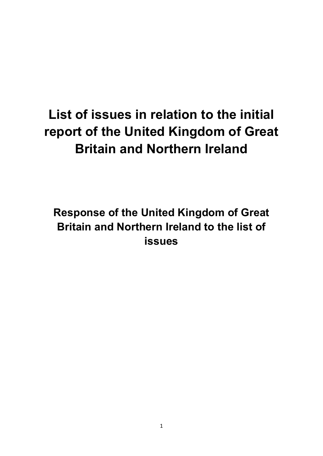# **List of issues in relation to the initial report of the United Kingdom of Great Britain and Northern Ireland**

**Response of the United Kingdom of Great Britain and Northern Ireland to the list of issues**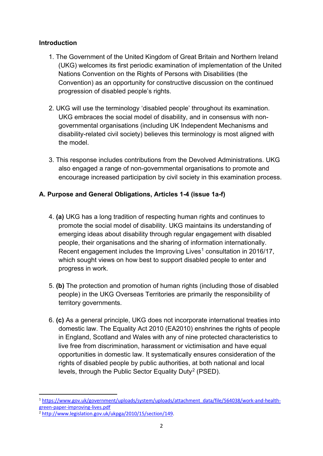## **Introduction**

- 1. The Government of the United Kingdom of Great Britain and Northern Ireland (UKG) welcomes its first periodic examination of implementation of the United Nations Convention on the Rights of Persons with Disabilities (the Convention) as an opportunity for constructive discussion on the continued progression of disabled people's rights.
- 2. UKG will use the terminology 'disabled people' throughout its examination. UKG embraces the social model of disability, and in consensus with nongovernmental organisations (including UK Independent Mechanisms and disability-related civil society) believes this terminology is most aligned with the model.
- 3. This response includes contributions from the Devolved Administrations. UKG also engaged a range of non-governmental organisations to promote and encourage increased participation by civil society in this examination process.

# **A. Purpose and General Obligations, Articles 1-4 (issue 1a-f)**

- 4. **(a)** UKG has a long tradition of respecting human rights and continues to promote the social model of disability. UKG maintains its understanding of emerging ideas about disability through regular engagement with disabled people, their organisations and the sharing of information internationally. Recent engagement includes the Improving Lives<sup>[1](#page-1-0)</sup> consultation in 2016/17, which sought views on how best to support disabled people to enter and progress in work.
- 5. **(b)** The protection and promotion of human rights (including those of disabled people) in the UKG Overseas Territories are primarily the responsibility of territory governments.
- 6. **(c)** As a general principle, UKG does not incorporate international treaties into domestic law. The Equality Act 2010 (EA2010) enshrines the rights of people in England, Scotland and Wales with any of nine protected characteristics to live free from discrimination, harassment or victimisation and have equal opportunities in domestic law. It systematically ensures consideration of the rights of disabled people by public authorities, at both national and local levels, through the Public Sector Equality Duty<sup>[2](#page-1-1)</sup> (PSED).

<span id="page-1-0"></span>**<sup>.</sup>** <sup>1</sup> [https://www.gov.uk/government/uploads/system/uploads/attachment\\_data/file/564038/work-and-health](https://www.gov.uk/government/uploads/system/uploads/attachment_data/file/564038/work-and-health-green-paper-improving-lives.pdf)green-paper-improving-lives.pdf<br><sup>2</sup> [http://www.legislation.gov.uk/ukpga/2010/15/section/149.](http://www.legislation.gov.uk/ukpga/2010/15/section/149)

<span id="page-1-1"></span>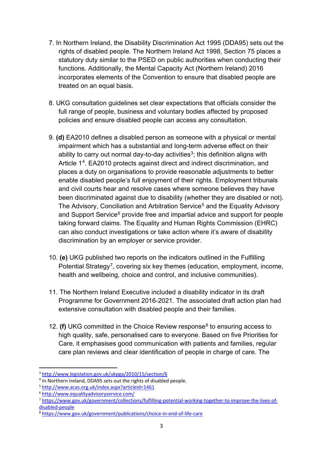- 7. In Northern Ireland, the Disability Discrimination Act 1995 (DDA95) sets out the rights of disabled people. The Northern Ireland Act 1998, Section 75 places a statutory duty similar to the PSED on public authorities when conducting their functions. Additionally, the Mental Capacity Act (Northern Ireland) 2016 incorporates elements of the Convention to ensure that disabled people are treated on an equal basis.
- 8. UKG consultation guidelines set clear expectations that officials consider the full range of people, business and voluntary bodies affected by proposed policies and ensure disabled people can access any consultation.
- 9. **(d)** EA2010 defines a disabled person as someone with a physical or mental impairment which has a substantial and long-term adverse effect on their ability to carry out normal day-to-day activities<sup>[3](#page-2-0)</sup>; this definition aligns with Article 1<sup>[4](#page-2-1)</sup>. EA2010 protects against direct and indirect discrimination, and places a duty on organisations to provide reasonable adjustments to better enable disabled people's full enjoyment of their rights. Employment tribunals and civil courts hear and resolve cases where someone believes they have been discriminated against due to disability (whether they are disabled or not). The Advisory, Conciliation and Arbitration Service<sup>[5](#page-2-2)</sup> and the Equality Advisory and Support Service<sup>[6](#page-2-3)</sup> provide free and impartial advice and support for people taking forward claims. The Equality and Human Rights Commission (EHRC) can also conduct investigations or take action where it's aware of disability discrimination by an employer or service provider.
- 10. **(e)** UKG published two reports on the indicators outlined in the Fulfilling Potential Strategy<sup>7</sup>, covering six key themes (education, employment, income, health and wellbeing, choice and control, and inclusive communities).
- 11. The Northern Ireland Executive included a disability indicator in its draft Programme for Government 2016-2021. The associated draft action plan had extensive consultation with disabled people and their families.
- 12. **(f)** UKG committed in the Choice Review response<sup>[8](#page-2-5)</sup> to ensuring access to high quality, safe, personalised care to everyone. Based on five Priorities for Care, it emphasises good communication with patients and families, regular care plan reviews and clear identification of people in charge of care. The

 $\overline{\phantom{a}}$ 

<span id="page-2-1"></span>

<span id="page-2-2"></span>

<span id="page-2-4"></span><span id="page-2-3"></span>

<span id="page-2-0"></span><sup>&</sup>lt;sup>3</sup> http://www.legislation.gov.uk/ukpga/2010/15/section/6<br>
<sup>4</sup> In Northern Ireland, DDA95 sets out the rights of disabled people.<br>
<sup>5</sup> http://www.acas.org.uk/index.aspx?articleid=1461<br>
<sup>6</sup> http://www.equalityadvisoryservic [disabled-people](https://www.gov.uk/government/collections/fulfilling-potential-working-together-to-improve-the-lives-of-disabled-people)

<span id="page-2-5"></span><sup>8</sup> <https://www.gov.uk/government/publications/choice-in-end-of-life-care>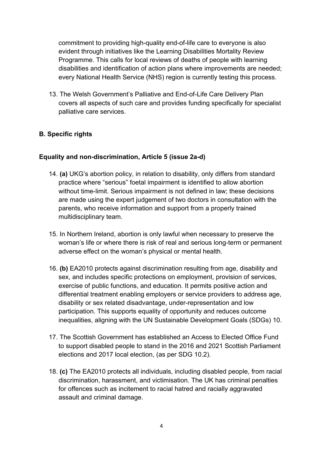commitment to providing high-quality end-of-life care to everyone is also evident through initiatives like the Learning Disabilities Mortality Review Programme. This calls for local reviews of deaths of people with learning disabilities and identification of action plans where improvements are needed; every National Health Service (NHS) region is currently testing this process.

13. The Welsh Government's Palliative and End-of-Life Care Delivery Plan covers all aspects of such care and provides funding specifically for specialist palliative care services.

# **B. Specific rights**

## **Equality and non-discrimination, Article 5 (issue 2a-d)**

- 14. **(a)** UKG's abortion policy, in relation to disability, only differs from standard practice where "serious" foetal impairment is identified to allow abortion without time-limit. Serious impairment is not defined in law; these decisions are made using the expert judgement of two doctors in consultation with the parents, who receive information and support from a properly trained multidisciplinary team.
- 15. In Northern Ireland, abortion is only lawful when necessary to preserve the woman's life or where there is risk of real and serious long-term or permanent adverse effect on the woman's physical or mental health.
- 16. **(b)** EA2010 protects against discrimination resulting from age, disability and sex, and includes specific protections on employment, provision of services, exercise of public functions, and education. It permits positive action and differential treatment enabling employers or service providers to address age, disability or sex related disadvantage, under-representation and low participation. This supports equality of opportunity and reduces outcome inequalities, aligning with the UN Sustainable Development Goals (SDGs) 10.
- 17. The Scottish Government has established an Access to Elected Office Fund to support disabled people to stand in the 2016 and 2021 Scottish Parliament elections and 2017 local election, (as per SDG 10.2).
- 18. **(c)** The EA2010 protects all individuals, including disabled people, from racial discrimination, harassment, and victimisation. The UK has criminal penalties for offences such as incitement to racial hatred and racially aggravated assault and criminal damage.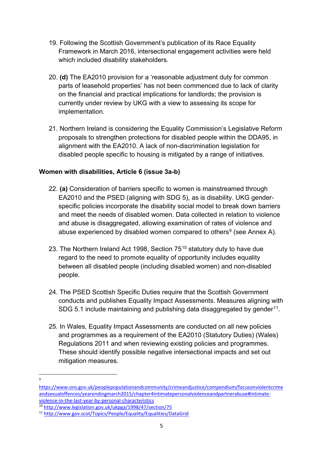- 19. Following the Scottish Government's publication of its Race Equality Framework in March 2016, intersectional engagement activities were held which included disability stakeholders.
- 20. **(d)** The EA2010 provision for a 'reasonable adjustment duty for common parts of leasehold properties' has not been commenced due to lack of clarity on the financial and practical implications for landlords; the provision is currently under review by UKG with a view to assessing its scope for implementation.
- 21. Northern Ireland is considering the Equality Commission's Legislative Reform proposals to strengthen protections for disabled people within the DDA95, in alignment with the EA2010. A lack of non-discrimination legislation for disabled people specific to housing is mitigated by a range of initiatives.

## **Women with disabilities, Article 6 (issue 3a-b)**

- 22. **(a)** Consideration of barriers specific to women is mainstreamed through EA2010 and the PSED (aligning with SDG 5), as is disability. UKG genderspecific policies incorporate the disability social model to break down barriers and meet the needs of disabled women. Data collected in relation to violence and abuse is disaggregated, allowing examination of rates of violence and abuse experienced by disabled women compared to others<sup>[9](#page-4-0)</sup> (see Annex A).
- 23. The Northern Ireland Act 1998, Section 75<sup>[10](#page-4-1)</sup> statutory duty to have due regard to the need to promote equality of opportunity includes equality between all disabled people (including disabled women) and non-disabled people.
- 24. The PSED Scottish Specific Duties require that the Scottish Government conducts and publishes Equality Impact Assessments. Measures aligning with SDG 5.1 include maintaining and publishing data disaggregated by gender<sup>[11](#page-4-2)</sup>.
- 25. In Wales, Equality Impact Assessments are conducted on all new policies and programmes as a requirement of the EA2010 (Statutory Duties) (Wales) Regulations 2011 and when reviewing existing policies and programmes. These should identify possible negative intersectional impacts and set out mitigation measures.

<sup>-&</sup>lt;br>9

<span id="page-4-0"></span>[https://www.ons.gov.uk/peoplepopulationandcommunity/crimeandjustice/compendium/focusonviolentcrime](https://www.ons.gov.uk/peoplepopulationandcommunity/crimeandjustice/compendium/focusonviolentcrimeandsexualoffences/yearendingmarch2015/chapter4intimatepersonalviolenceandpartnerabuse#intimate-violence-in-the-last-year-by-personal-characteristics) [andsexualoffences/yearendingmarch2015/chapter4intimatepersonalviolenceandpartnerabuse#intimate](https://www.ons.gov.uk/peoplepopulationandcommunity/crimeandjustice/compendium/focusonviolentcrimeandsexualoffences/yearendingmarch2015/chapter4intimatepersonalviolenceandpartnerabuse#intimate-violence-in-the-last-year-by-personal-characteristics)[violence-in-the-last-year-by-personal-characteristics](https://www.ons.gov.uk/peoplepopulationandcommunity/crimeandjustice/compendium/focusonviolentcrimeandsexualoffences/yearendingmarch2015/chapter4intimatepersonalviolenceandpartnerabuse#intimate-violence-in-the-last-year-by-personal-characteristics)<sup>10</sup> http://www.legislation.gov.uk/ukpga/1998/47/section/75

<span id="page-4-2"></span><span id="page-4-1"></span><sup>&</sup>lt;sup>11</sup> http://www.gov.scot/Topics/People/Equality/Equalities/DataGrid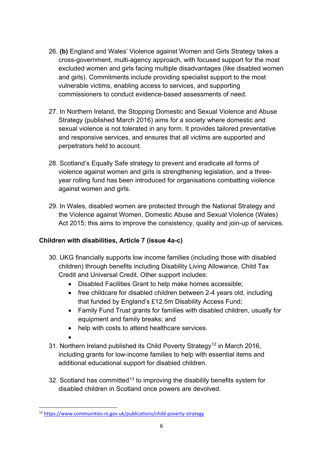- 26. **(b)** England and Wales' Violence against Women and Girls Strategy takes a cross-government, multi-agency approach, with focused support for the most excluded women and girls facing multiple disadvantages (like disabled women and girls). Commitments include providing specialist support to the most vulnerable victims, enabling access to services, and supporting commissioners to conduct evidence-based assessments of need.
- 27. In Northern Ireland, the Stopping Domestic and Sexual Violence and Abuse Strategy (published March 2016) aims for a society where domestic and sexual violence is not tolerated in any form. It provides tailored preventative and responsive services, and ensures that all victims are supported and perpetrators held to account.
- 28. Scotland's Equally Safe strategy to prevent and eradicate all forms of violence against women and girls is strengthening legislation, and a threeyear rolling fund has been introduced for organisations combatting violence against women and girls.
- 29. In Wales, disabled women are protected through the National Strategy and the Violence against Women, Domestic Abuse and Sexual Violence (Wales) Act 2015; this aims to improve the consistency, quality and join-up of services.

# **Children with disabilities, Article 7 (issue 4a-c)**

- 30. UKG financially supports low income families (including those with disabled children) through benefits including Disability Living Allowance, Child Tax Credit and Universal Credit. Other support includes:
	- Disabled Facilities Grant to help make homes accessible;
	- free childcare for disabled children between 2-4 years old, including that funded by England's £12.5m Disability Access Fund;
	- Family Fund Trust grants for families with disabled children, usually for equipment and family breaks; and
	- help with costs to attend healthcare services.
	- •
- 31. Northern Ireland published its Child Poverty Strategy<sup>[12](#page-5-0)</sup> in March 2016, including grants for low-income families to help with essential items and additional educational support for disabled children.
- 32. Scotland has committed<sup>[13](#page-5-1)</sup> to improving the disability benefits system for disabled children in Scotland once powers are devolved.

<span id="page-5-1"></span><span id="page-5-0"></span>**<sup>.</sup>** <sup>12</sup> <https://www.communities-ni.gov.uk/publications/child-poverty-strategy>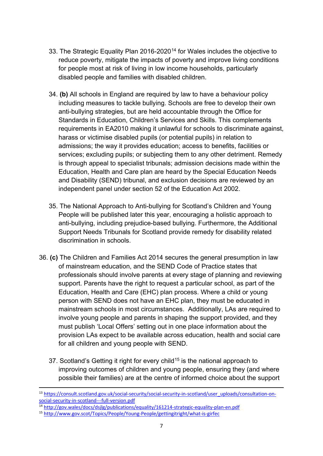- 33. The Strategic Equality Plan 2016-2020<sup>[14](#page-6-0)</sup> for Wales includes the objective to reduce poverty, mitigate the impacts of poverty and improve living conditions for people most at risk of living in low income households, particularly disabled people and families with disabled children.
- 34. **(b)** All schools in England are required by law to have a behaviour policy including measures to tackle bullying. Schools are free to develop their own anti-bullying strategies, but are held accountable through the Office for Standards in Education, Children's Services and Skills. This complements requirements in EA2010 making it unlawful for schools to discriminate against, harass or victimise disabled pupils (or potential pupils) in relation to admissions; the way it provides education; access to benefits, facilities or services; excluding pupils; or subjecting them to any other detriment. Remedy is through appeal to specialist tribunals; admission decisions made within the Education, Health and Care plan are heard by the Special Education Needs and Disability (SEND) tribunal, and exclusion decisions are reviewed by an independent panel under section 52 of the Education Act 2002.
- 35. The National Approach to Anti-bullying for Scotland's Children and Young People will be published later this year, encouraging a holistic approach to anti-bullying, including prejudice-based bullying. Furthermore, the Additional Support Needs Tribunals for Scotland provide remedy for disability related discrimination in schools.
- 36. **(c)** The Children and Families Act 2014 secures the general presumption in law of mainstream education, and the SEND Code of Practice states that professionals should involve parents at every stage of planning and reviewing support. Parents have the right to request a particular school, as part of the Education, Health and Care (EHC) plan process. Where a child or young person with SEND does not have an EHC plan, they must be educated in mainstream schools in most circumstances. Additionally, LAs are required to involve young people and parents in shaping the support provided, and they must publish 'Local Offers' setting out in one place information about the provision LAs expect to be available across education, health and social care for all children and young people with SEND.
	- 37. Scotland's Getting it right for every child<sup>[15](#page-6-1)</sup> is the national approach to improving outcomes of children and young people, ensuring they (and where possible their families) are at the centre of informed choice about the support
- 13 [https://consult.scotland.gov.uk/social-security/social-security-in-scotland/user\\_uploads/consultation-on](https://consult.scotland.gov.uk/social-security/social-security-in-scotland/user_uploads/consultation-on-social-security-in-scotland---full-version.pdf)[social-security-in-scotland---full-version.pdf](https://consult.scotland.gov.uk/social-security/social-security-in-scotland/user_uploads/consultation-on-social-security-in-scotland---full-version.pdf)<br><sup>14</sup> http://gov.wales/docs/dsjlg/publications/equality/161214-strategic-equality-plan-en.pdf

<span id="page-6-1"></span><span id="page-6-0"></span><sup>&</sup>lt;sup>15</sup> <http://www.gov.scot/Topics/People/Young-People/gettingitright/what-is-girfec>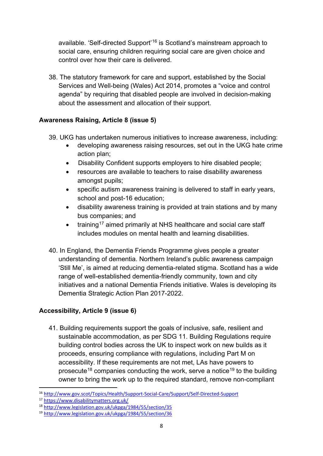available. 'Self-directed Support'[16](#page-7-0) is Scotland's mainstream approach to social care, ensuring children requiring social care are given choice and control over how their care is delivered.

38. The statutory framework for care and support, established by the Social Services and Well-being (Wales) Act 2014, promotes a "voice and control agenda" by requiring that disabled people are involved in decision-making about the assessment and allocation of their support.

# **Awareness Raising, Article 8 (issue 5)**

- 39. UKG has undertaken numerous initiatives to increase awareness, including:
	- developing awareness raising resources, set out in the UKG hate crime action plan;
	- Disability Confident supports employers to hire disabled people;
	- resources are available to teachers to raise disability awareness amongst pupils;
	- specific autism awareness training is delivered to staff in early years, school and post-16 education;
	- disability awareness training is provided at train stations and by many bus companies; and
	- training<sup>[17](#page-7-1)</sup> aimed primarily at NHS healthcare and social care staff includes modules on mental health and learning disabilities.
- 40. In England, the Dementia Friends Programme gives people a greater understanding of dementia. Northern Ireland's public awareness campaign 'Still Me', is aimed at reducing dementia-related stigma. Scotland has a wide range of well-established dementia-friendly community, town and city initiatives and a national Dementia Friends initiative. Wales is developing its Dementia Strategic Action Plan 2017-2022.

# **Accessibility, Article 9 (issue 6)**

41. Building requirements support the goals of inclusive, safe, resilient and sustainable accommodation, as per SDG 11. Building Regulations require building control bodies across the UK to inspect work on new builds as it proceeds, ensuring compliance with regulations, including Part M on accessibility. If these requirements are not met, LAs have powers to prosecute<sup>[18](#page-7-2)</sup> companies conducting the work, serve a notice<sup>[19](#page-7-3)</sup> to the building owner to bring the work up to the required standard, remove non-compliant

**<sup>.</sup>** <sup>16</sup> <http://www.gov.scot/Topics/Health/Support-Social-Care/Support/Self-Directed-Support>

<span id="page-7-2"></span><span id="page-7-1"></span><span id="page-7-0"></span><sup>&</sup>lt;sup>17</sup> https://www.disabilitymatters.org.uk/<br><sup>18</sup> http://www.legislation.gov.uk/ukpga/1984/55/section/35<br><sup>19</sup> http://www.legislation.gov.uk/ukpga/1984/55/section/36

<span id="page-7-3"></span>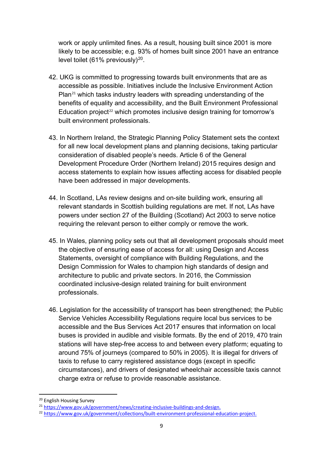work or apply unlimited fines. As a result, housing built since 2001 is more likely to be accessible; e.g. 93% of homes built since 2001 have an entrance level toilet (61% previously)<sup>[20](#page-8-0)</sup>.

- 42. UKG is committed to progressing towards built environments that are as accessible as possible. Initiatives include the Inclusive Environment Action Plan<sup>[21](#page-8-1)</sup> which tasks industry leaders with spreading understanding of the benefits of equality and accessibility, and the Built Environment Professional Education project<sup>[22](#page-8-2)</sup> which promotes inclusive design training for tomorrow's built environment professionals.
- 43. In Northern Ireland, the Strategic Planning Policy Statement sets the context for all new local development plans and planning decisions, taking particular consideration of disabled people's needs. Article 6 of the General Development Procedure Order (Northern Ireland) 2015 requires design and access statements to explain how issues affecting access for disabled people have been addressed in major developments.
- 44. In Scotland, LAs review designs and on-site building work, ensuring all relevant standards in Scottish building regulations are met. If not, LAs have powers under section 27 of the Building (Scotland) Act 2003 to serve notice requiring the relevant person to either comply or remove the work.
- 45. In Wales, planning policy sets out that all development proposals should meet the objective of ensuring ease of access for all: using Design and Access Statements, oversight of compliance with Building Regulations, and the Design Commission for Wales to champion high standards of design and architecture to public and private sectors. In 2016, the Commission coordinated inclusive-design related training for built environment professionals.
- 46. Legislation for the accessibility of transport has been strengthened; the Public Service Vehicles Accessibility Regulations require local bus services to be accessible and the Bus Services Act 2017 ensures that information on local buses is provided in audible and visible formats. By the end of 2019, 470 train stations will have step-free access to and between every platform; equating to around 75% of journeys (compared to 50% in 2005). It is illegal for drivers of taxis to refuse to carry registered assistance dogs (except in specific circumstances), and drivers of designated wheelchair accessible taxis cannot charge extra or refuse to provide reasonable assistance.

<span id="page-8-0"></span><sup>&</sup>lt;sup>20</sup> English Housing Survey<br><sup>21</sup> https://www.gov.uk/government/news/creating-inclusive-buildings-and-design.

<span id="page-8-2"></span><span id="page-8-1"></span><sup>&</sup>lt;sup>22</sup> [https://www.gov.uk/government/collections/built-environment-professional-education-project.](https://www.gov.uk/government/collections/built-environment-professional-education-project)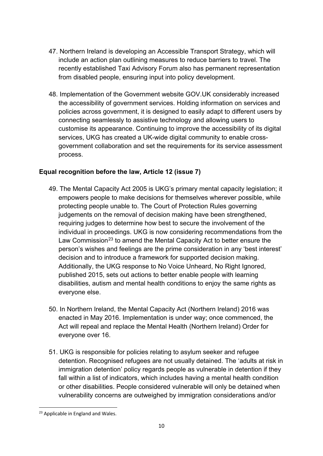- 47. Northern Ireland is developing an Accessible Transport Strategy, which will include an action plan outlining measures to reduce barriers to travel. The recently established Taxi Advisory Forum also has permanent representation from disabled people, ensuring input into policy development.
- 48. Implementation of the Government website GOV.UK considerably increased the accessibility of government services. Holding information on services and policies across government, it is designed to easily adapt to different users by connecting seamlessly to assistive technology and allowing users to customise its appearance. Continuing to improve the accessibility of its digital services, UKG has created a UK-wide digital community to enable crossgovernment collaboration and set the requirements for its service assessment process.

## **Equal recognition before the law, Article 12 (issue 7)**

- 49. The Mental Capacity Act 2005 is UKG's primary mental capacity legislation; it empowers people to make decisions for themselves wherever possible, while protecting people unable to. The Court of Protection Rules governing judgements on the removal of decision making have been strengthened, requiring judges to determine how best to secure the involvement of the individual in proceedings. UKG is now considering recommendations from the Law Commission<sup>[23](#page-9-0)</sup> to amend the Mental Capacity Act to better ensure the person's wishes and feelings are the prime consideration in any 'best interest' decision and to introduce a framework for supported decision making. Additionally, the UKG response to No Voice Unheard, No Right Ignored, published 2015, sets out actions to better enable people with learning disabilities, autism and mental health conditions to enjoy the same rights as everyone else.
- 50. In Northern Ireland, the Mental Capacity Act (Northern Ireland) 2016 was enacted in May 2016. Implementation is under way; once commenced, the Act will repeal and replace the Mental Health (Northern Ireland) Order for everyone over 16.
- 51. UKG is responsible for policies relating to asylum seeker and refugee detention. Recognised refugees are not usually detained. The 'adults at risk in immigration detention' policy regards people as vulnerable in detention if they fall within a list of indicators, which includes having a mental health condition or other disabilities. People considered vulnerable will only be detained when vulnerability concerns are outweighed by immigration considerations and/or

<span id="page-9-0"></span>**<sup>.</sup>** <sup>23</sup> Applicable in England and Wales.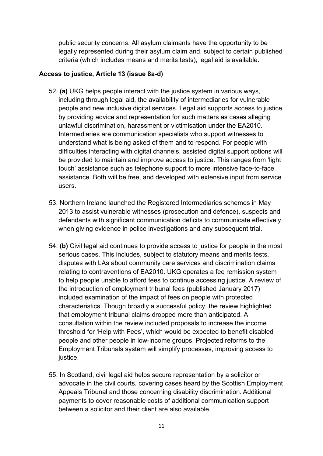public security concerns. All asylum claimants have the opportunity to be legally represented during their asylum claim and, subject to certain published criteria (which includes means and merits tests), legal aid is available.

## **Access to justice, Article 13 (issue 8a-d)**

- 52. **(a)** UKG helps people interact with the justice system in various ways, including through legal aid, the availability of intermediaries for vulnerable people and new inclusive digital services. Legal aid supports access to justice by providing advice and representation for such matters as cases alleging unlawful discrimination, harassment or victimisation under the EA2010. Intermediaries are communication specialists who support witnesses to understand what is being asked of them and to respond. For people with difficulties interacting with digital channels, assisted digital support options will be provided to maintain and improve access to justice. This ranges from 'light touch' assistance such as telephone support to more intensive face-to-face assistance. Both will be free, and developed with extensive input from service users.
- 53. Northern Ireland launched the Registered Intermediaries schemes in May 2013 to assist vulnerable witnesses (prosecution and defence), suspects and defendants with significant communication deficits to communicate effectively when giving evidence in police investigations and any subsequent trial.
- 54. **(b)** Civil legal aid continues to provide access to justice for people in the most serious cases. This includes, subject to statutory means and merits tests, disputes with LAs about community care services and discrimination claims relating to contraventions of EA2010. UKG operates a fee remission system to help people unable to afford fees to continue accessing justice. A review of the introduction of employment tribunal fees (published January 2017) included examination of the impact of fees on people with protected characteristics. Though broadly a successful policy, the review highlighted that employment tribunal claims dropped more than anticipated. A consultation within the review included proposals to increase the income threshold for 'Help with Fees', which would be expected to benefit disabled people and other people in low-income groups. Projected reforms to the Employment Tribunals system will simplify processes, improving access to justice.
- 55. In Scotland, civil legal aid helps secure representation by a solicitor or advocate in the civil courts, covering cases heard by the Scottish Employment Appeals Tribunal and those concerning disability discrimination. Additional payments to cover reasonable costs of additional communication support between a solicitor and their client are also available.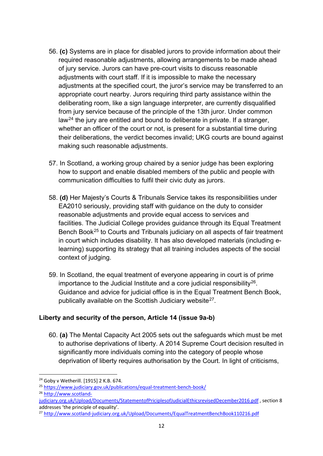- 56. **(c)** Systems are in place for disabled jurors to provide information about their required reasonable adjustments, allowing arrangements to be made ahead of jury service. Jurors can have pre-court visits to discuss reasonable adjustments with court staff. If it is impossible to make the necessary adjustments at the specified court, the juror's service may be transferred to an appropriate court nearby. Jurors requiring third party assistance within the deliberating room, like a sign language interpreter, are currently disqualified from jury service because of the principle of the 13th juror. Under common law[24](#page-11-0) the jury are entitled and bound to deliberate in private. If a stranger, whether an officer of the court or not, is present for a substantial time during their deliberations, the verdict becomes invalid; UKG courts are bound against making such reasonable adjustments.
- 57. In Scotland, a working group chaired by a senior judge has been exploring how to support and enable disabled members of the public and people with communication difficulties to fulfil their civic duty as jurors.
- 58. **(d)** Her Majesty's Courts & Tribunals Service takes its responsibilities under EA2010 seriously, providing staff with guidance on the duty to consider reasonable adjustments and provide equal access to services and facilities. The Judicial College provides guidance through its Equal Treatment Bench Book<sup>[25](#page-11-1)</sup> to Courts and Tribunals judiciary on all aspects of fair treatment in court which includes disability. It has also developed materials (including elearning) supporting its strategy that all training includes aspects of the social context of judging.
- 59. In Scotland, the equal treatment of everyone appearing in court is of prime importance to the Judicial Institute and a core judicial responsibility $^{26}$ . Guidance and advice for judicial office is in the Equal Treatment Bench Book, publically available on the Scottish Judiciary website<sup>27</sup>.

## **Liberty and security of the person, Article 14 (issue 9a-b)**

60. **(a)** The Mental Capacity Act 2005 sets out the safeguards which must be met to authorise deprivations of liberty. A 2014 Supreme Court decision resulted in significantly more individuals coming into the category of people whose deprivation of liberty requires authorisation by the Court. In light of criticisms,

<span id="page-11-0"></span><sup>24</sup> Goby v Wetherill. [1915] 2 K.B. 674.

<span id="page-11-1"></span><sup>&</sup>lt;sup>25</sup> https://www.judiciary.gov.uk/publications/equal-treatment-bench-book/<br><sup>26</sup> http://www.scotland-

<span id="page-11-2"></span>

[judiciary.org.uk/Upload/Documents/StatementofPriciplesofJudicialEthicsrevisedDecember2016.pdf](http://www.scotland-judiciary.org.uk/Upload/Documents/StatementofPriciplesofJudicialEthicsrevisedDecember2016.pdf), section 8 addresses 'the principle of equality'.

<span id="page-11-3"></span><sup>27</sup> <http://www.scotland-judiciary.org.uk/Upload/Documents/EqualTreatmentBenchBook110216.pdf>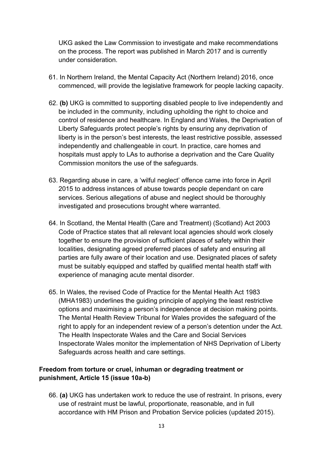UKG asked the Law Commission to investigate and make recommendations on the process. The report was published in March 2017 and is currently under consideration.

- 61. In Northern Ireland, the Mental Capacity Act (Northern Ireland) 2016, once commenced, will provide the legislative framework for people lacking capacity.
- 62. **(b)** UKG is committed to supporting disabled people to live independently and be included in the community, including upholding the right to choice and control of residence and healthcare. In England and Wales, the Deprivation of Liberty Safeguards protect people's rights by ensuring any deprivation of liberty is in the person's best interests, the least restrictive possible, assessed independently and challengeable in court. In practice, care homes and hospitals must apply to LAs to authorise a deprivation and the Care Quality Commission monitors the use of the safeguards.
- 63. Regarding abuse in care, a 'wilful neglect' offence came into force in April 2015 to address instances of abuse towards people dependant on care services. Serious allegations of abuse and neglect should be thoroughly investigated and prosecutions brought where warranted.
- 64. In Scotland, the Mental Health (Care and Treatment) (Scotland) Act 2003 Code of Practice states that all relevant local agencies should work closely together to ensure the provision of sufficient places of safety within their localities, designating agreed preferred places of safety and ensuring all parties are fully aware of their location and use. Designated places of safety must be suitably equipped and staffed by qualified mental health staff with experience of managing acute mental disorder.
- 65. In Wales, the revised Code of Practice for the Mental Health Act 1983 (MHA1983) underlines the guiding principle of applying the least restrictive options and maximising a person's independence at decision making points. The Mental Health Review Tribunal for Wales provides the safeguard of the right to apply for an independent review of a person's detention under the Act. The Health Inspectorate Wales and the Care and Social Services Inspectorate Wales monitor the implementation of NHS Deprivation of Liberty Safeguards across health and care settings.

## **Freedom from torture or cruel, inhuman or degrading treatment or punishment, Article 15 (issue 10a-b)**

66. **(a)** UKG has undertaken work to reduce the use of restraint. In prisons, every use of restraint must be lawful, proportionate, reasonable, and in full accordance with HM Prison and Probation Service policies (updated 2015).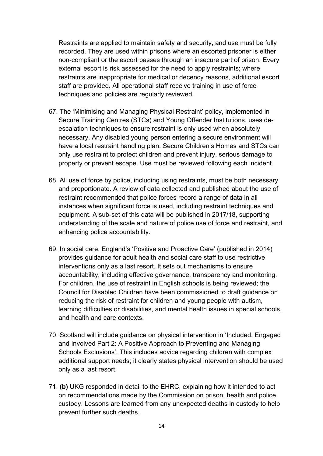Restraints are applied to maintain safety and security, and use must be fully recorded. They are used within prisons where an escorted prisoner is either non-compliant or the escort passes through an insecure part of prison. Every external escort is risk assessed for the need to apply restraints; where restraints are inappropriate for medical or decency reasons, additional escort staff are provided. All operational staff receive training in use of force techniques and policies are regularly reviewed.

- 67. The 'Minimising and Managing Physical Restraint' policy, implemented in Secure Training Centres (STCs) and Young Offender Institutions, uses deescalation techniques to ensure restraint is only used when absolutely necessary. Any disabled young person entering a secure environment will have a local restraint handling plan. Secure Children's Homes and STCs can only use restraint to protect children and prevent injury, serious damage to property or prevent escape. Use must be reviewed following each incident.
- 68. All use of force by police, including using restraints, must be both necessary and proportionate. A review of data collected and published about the use of restraint recommended that police forces record a range of data in all instances when significant force is used, including restraint techniques and equipment. A sub-set of this data will be published in 2017/18, supporting understanding of the scale and nature of police use of force and restraint, and enhancing police accountability.
- 69. In social care, England's 'Positive and Proactive Care' (published in 2014) provides guidance for adult health and social care staff to use restrictive interventions only as a last resort. It sets out mechanisms to ensure accountability, including effective governance, transparency and monitoring. For children, the use of restraint in English schools is being reviewed; the Council for Disabled Children have been commissioned to draft guidance on reducing the risk of restraint for children and young people with autism, learning difficulties or disabilities, and mental health issues in special schools, and health and care contexts.
- 70. Scotland will include guidance on physical intervention in 'Included, Engaged and Involved Part 2: A Positive Approach to Preventing and Managing Schools Exclusions'. This includes advice regarding children with complex additional support needs; it clearly states physical intervention should be used only as a last resort.
- 71. **(b)** UKG responded in detail to the EHRC, explaining how it intended to act on recommendations made by the Commission on prison, health and police custody. Lessons are learned from any unexpected deaths in custody to help prevent further such deaths.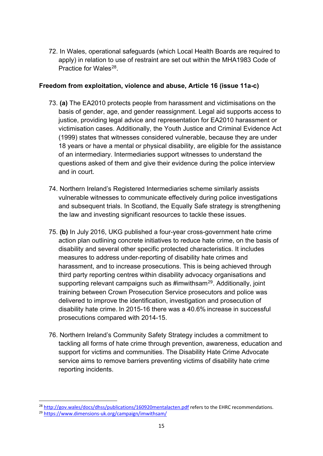72. In Wales, operational safeguards (which Local Health Boards are required to apply) in relation to use of restraint are set out within the MHA1983 Code of Practice for Wales<sup>28</sup>.

## **Freedom from exploitation, violence and abuse, Article 16 (issue 11a-c)**

- 73. **(a)** The EA2010 protects people from harassment and victimisations on the basis of gender, age, and gender reassignment. Legal aid supports access to justice, providing legal advice and representation for EA2010 harassment or victimisation cases. Additionally, the Youth Justice and Criminal Evidence Act (1999) states that witnesses considered vulnerable, because they are under 18 years or have a mental or physical disability, are eligible for the assistance of an intermediary. Intermediaries support witnesses to understand the questions asked of them and give their evidence during the police interview and in court.
- 74. Northern Ireland's Registered Intermediaries scheme similarly assists vulnerable witnesses to communicate effectively during police investigations and subsequent trials. In Scotland, the Equally Safe strategy is strengthening the law and investing significant resources to tackle these issues.
- 75. **(b)** In July 2016, UKG published a four-year cross-government hate crime action plan outlining concrete initiatives to reduce hate crime, on the basis of disability and several other specific protected characteristics. It includes measures to address under-reporting of disability hate crimes and harassment, and to increase prosecutions. This is being achieved through third party reporting centres within disability advocacy organisations and supporting relevant campaigns such as #imwithsam<sup>[29](#page-14-1)</sup>. Additionally, joint training between Crown Prosecution Service prosecutors and police was delivered to improve the identification, investigation and prosecution of disability hate crime. In 2015-16 there was a 40.6% increase in successful prosecutions compared with 2014-15.
- 76. Northern Ireland's Community Safety Strategy includes a commitment to tackling all forms of hate crime through prevention, awareness, education and support for victims and communities. The Disability Hate Crime Advocate service aims to remove barriers preventing victims of disability hate crime reporting incidents.

**<sup>.</sup>** <sup>28</sup> http://gov.wales/docs/dhss/publications/160920mentalacten.pdf refers to the EHRC recommendations.<br><sup>29</sup> https://www.dimensions-uk.org/campaign/imwithsam/

<span id="page-14-1"></span><span id="page-14-0"></span>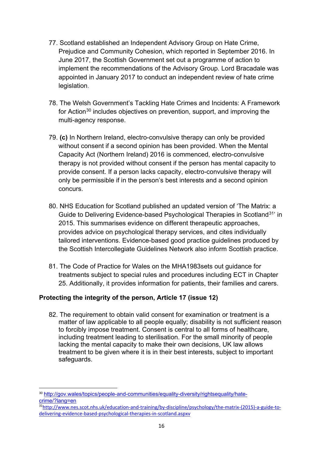- 77. Scotland established an Independent Advisory Group on Hate Crime, Prejudice and Community Cohesion, which reported in September 2016. In June 2017, the Scottish Government set out a programme of action to implement the recommendations of the Advisory Group. Lord Bracadale was appointed in January 2017 to conduct an independent review of hate crime legislation.
- 78. The Welsh Government's Tackling Hate Crimes and Incidents: A Framework for Action<sup>[30](#page-15-0)</sup> includes objectives on prevention, support, and improving the multi-agency response.
- 79. **(c)** In Northern Ireland, electro-convulsive therapy can only be provided without consent if a second opinion has been provided. When the Mental Capacity Act (Northern Ireland) 2016 is commenced, electro-convulsive therapy is not provided without consent if the person has mental capacity to provide consent. If a person lacks capacity, electro-convulsive therapy will only be permissible if in the person's best interests and a second opinion concurs.
- 80. NHS Education for Scotland published an updated version of 'The Matrix: a Guide to Delivering Evidence-based Psychological Therapies in Scotland[31'](#page-15-1) in 2015. This summarises evidence on different therapeutic approaches, provides advice on psychological therapy services, and cites individually tailored interventions. Evidence-based good practice guidelines produced by the Scottish Intercollegiate Guidelines Network also inform Scottish practice.
- 81. The Code of Practice for Wales on the MHA1983sets out guidance for treatments subject to special rules and procedures including ECT in Chapter 25. Additionally, it provides information for patients, their families and carers.

## **Protecting the integrity of the person, Article 17 (issue 12)**

82. The requirement to obtain valid consent for examination or treatment is a matter of law applicable to all people equally; disability is not sufficient reason to forcibly impose treatment. Consent is central to all forms of healthcare, including treatment leading to sterilisation. For the small minority of people lacking the mental capacity to make their own decisions, UK law allows treatment to be given where it is in their best interests, subject to important safeguards.

<span id="page-15-0"></span>**<sup>.</sup>** <sup>30</sup> [http://gov.wales/topics/people-and-communities/equality-diversity/rightsequality/hate](http://gov.wales/topics/people-and-communities/equality-diversity/rightsequality/hate-crime/?lang=en)[crime/?lang=en](http://gov.wales/topics/people-and-communities/equality-diversity/rightsequality/hate-crime/?lang=en)

<span id="page-15-1"></span><sup>3</sup>[1http://www.nes.scot.nhs.uk/education-and-training/by-discipline/psychology/the-matrix-\(2015\)-a-guide-to](http://www.nes.scot.nhs.uk/education-and-training/by-discipline/psychology/the-matrix-(2015)-a-guide-to-delivering-evidence-based-psychological-therapies-in-scotland.aspxv)[delivering-evidence-based-psychological-therapies-in-scotland.aspxv](http://www.nes.scot.nhs.uk/education-and-training/by-discipline/psychology/the-matrix-(2015)-a-guide-to-delivering-evidence-based-psychological-therapies-in-scotland.aspxv)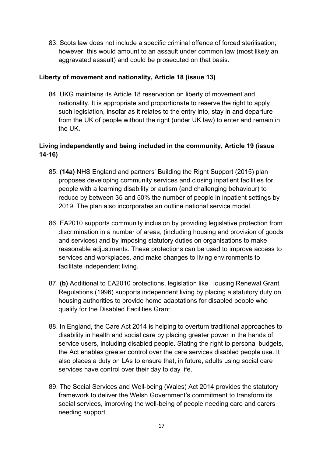83. Scots law does not include a specific criminal offence of forced sterilisation; however, this would amount to an assault under common law (most likely an aggravated assault) and could be prosecuted on that basis.

## **Liberty of movement and nationality, Article 18 (issue 13)**

84. UKG maintains its Article 18 reservation on liberty of movement and nationality. It is appropriate and proportionate to reserve the right to apply such legislation, insofar as it relates to the entry into, stay in and departure from the UK of people without the right (under UK law) to enter and remain in the UK.

# **Living independently and being included in the community, Article 19 (issue 14-16)**

- 85. **(14a)** NHS England and partners' Building the Right Support (2015) plan proposes developing community services and closing inpatient facilities for people with a learning disability or autism (and challenging behaviour) to reduce by between 35 and 50% the number of people in inpatient settings by 2019. The plan also incorporates an outline national service model.
- 86. EA2010 supports community inclusion by providing legislative protection from discrimination in a number of areas, (including housing and provision of goods and services) and by imposing statutory duties on organisations to make reasonable adjustments. These protections can be used to improve access to services and workplaces, and make changes to living environments to facilitate independent living.
- 87. **(b)** Additional to EA2010 protections, legislation like Housing Renewal Grant Regulations (1996) supports independent living by placing a statutory duty on housing authorities to provide home adaptations for disabled people who qualify for the Disabled Facilities Grant.
- 88. In England, the Care Act 2014 is helping to overturn traditional approaches to disability in health and social care by placing greater power in the hands of service users, including disabled people. Stating the right to personal budgets, the Act enables greater control over the care services disabled people use. It also places a duty on LAs to ensure that, in future, adults using social care services have control over their day to day life.
- 89. The Social Services and Well-being (Wales) Act 2014 provides the statutory framework to deliver the Welsh Government's commitment to transform its social services, improving the well-being of people needing care and carers needing support.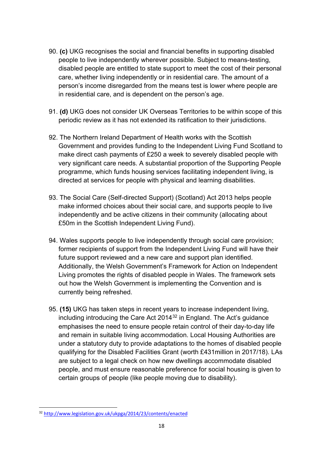- 90. **(c)** UKG recognises the social and financial benefits in supporting disabled people to live independently wherever possible. Subject to means-testing, disabled people are entitled to state support to meet the cost of their personal care, whether living independently or in residential care. The amount of a person's income disregarded from the means test is lower where people are in residential care, and is dependent on the person's age.
- 91. **(d)** UKG does not consider UK Overseas Territories to be within scope of this periodic review as it has not extended its ratification to their jurisdictions.
- 92. The Northern Ireland Department of Health works with the Scottish Government and provides funding to the Independent Living Fund Scotland to make direct cash payments of £250 a week to severely disabled people with very significant care needs. A substantial proportion of the Supporting People programme, which funds housing services facilitating independent living, is directed at services for people with physical and learning disabilities.
- 93. The Social Care (Self-directed Support) (Scotland) Act 2013 helps people make informed choices about their social care, and supports people to live independently and be active citizens in their community (allocating about £50m in the Scottish Independent Living Fund).
- 94. Wales supports people to live independently through social care provision; former recipients of support from the Independent Living Fund will have their future support reviewed and a new care and support plan identified. Additionally, the Welsh Government's Framework for Action on Independent Living promotes the rights of disabled people in Wales. The framework sets out how the Welsh Government is implementing the Convention and is currently being refreshed.
- 95. **(15)** UKG has taken steps in recent years to increase independent living, including introducing the Care Act 2014[32](#page-17-0) in England. The Act's guidance emphasises the need to ensure people retain control of their day-to-day life and remain in suitable living accommodation. Local Housing Authorities are under a statutory duty to provide adaptations to the homes of disabled people qualifying for the Disabled Facilities Grant (worth £431million in 2017/18). LAs are subject to a legal check on how new dwellings accommodate disabled people, and must ensure reasonable preference for social housing is given to certain groups of people (like people moving due to disability).

<span id="page-17-0"></span><sup>32</sup> <http://www.legislation.gov.uk/ukpga/2014/23/contents/enacted>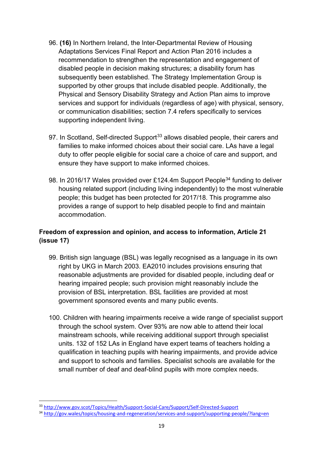- 96. **(16)** In Northern Ireland, the Inter-Departmental Review of Housing Adaptations Services Final Report and Action Plan 2016 includes a recommendation to strengthen the representation and engagement of disabled people in decision making structures; a disability forum has subsequently been established. The Strategy Implementation Group is supported by other groups that include disabled people. Additionally, the Physical and Sensory Disability Strategy and Action Plan aims to improve services and support for individuals (regardless of age) with physical, sensory, or communication disabilities; section 7.4 refers specifically to services supporting independent living.
- 97. In Scotland, Self-directed Support<sup>[33](#page-18-0)</sup> allows disabled people, their carers and families to make informed choices about their social care. LAs have a legal duty to offer people eligible for social care a choice of care and support, and ensure they have support to make informed choices.
- 98. In 2016/17 Wales provided over £124.4m Support People<sup>[34](#page-18-1)</sup> funding to deliver housing related support (including living independently) to the most vulnerable people; this budget has been protected for 2017/18. This programme also provides a range of support to help disabled people to find and maintain accommodation.

# **Freedom of expression and opinion, and access to information, Article 21 (issue 17)**

- 99. British sign language (BSL) was legally recognised as a language in its own right by UKG in March 2003. EA2010 includes provisions ensuring that reasonable adjustments are provided for disabled people, including deaf or hearing impaired people; such provision might reasonably include the provision of BSL interpretation. BSL facilities are provided at most government sponsored events and many public events.
- 100. Children with hearing impairments receive a wide range of specialist support through the school system. Over 93% are now able to attend their local mainstream schools, while receiving additional support through specialist units. 132 of 152 LAs in England have expert teams of teachers holding a qualification in teaching pupils with hearing impairments, and provide advice and support to schools and families. Specialist schools are available for the small number of deaf and deaf-blind pupils with more complex needs.

**<sup>.</sup>** <sup>33</sup> <http://www.gov.scot/Topics/Health/Support-Social-Care/Support/Self-Directed-Support>

<span id="page-18-1"></span><span id="page-18-0"></span><sup>34</sup> <http://gov.wales/topics/housing-and-regeneration/services-and-support/supporting-people/?lang=en>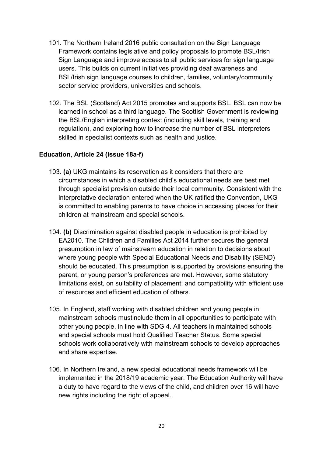- 101. The Northern Ireland 2016 public consultation on the Sign Language Framework contains legislative and policy proposals to promote BSL/Irish Sign Language and improve access to all public services for sign language users. This builds on current initiatives providing deaf awareness and BSL/Irish sign language courses to children, families, voluntary/community sector service providers, universities and schools.
- 102. The BSL (Scotland) Act 2015 promotes and supports BSL. BSL can now be learned in school as a third language. The Scottish Government is reviewing the BSL/English interpreting context (including skill levels, training and regulation), and exploring how to increase the number of BSL interpreters skilled in specialist contexts such as health and justice.

### **Education, Article 24 (issue 18a-f)**

- 103. **(a)** UKG maintains its reservation as it considers that there are circumstances in which a disabled child's educational needs are best met through specialist provision outside their local community. Consistent with the interpretative declaration entered when the UK ratified the Convention, UKG is committed to enabling parents to have choice in accessing places for their children at mainstream and special schools.
- 104. **(b)** Discrimination against disabled people in education is prohibited by EA2010. The Children and Families Act 2014 further secures the general presumption in law of mainstream education in relation to decisions about where young people with Special Educational Needs and Disability (SEND) should be educated. This presumption is supported by provisions ensuring the parent, or young person's preferences are met. However, some statutory limitations exist, on suitability of placement; and compatibility with efficient use of resources and efficient education of others.
- 105. In England, staff working with disabled children and young people in mainstream schools mustinclude them in all opportunities to participate with other young people, in line with SDG 4. All teachers in maintained schools and special schools must hold Qualified Teacher Status. Some special schools work collaboratively with mainstream schools to develop approaches and share expertise.
- 106. In Northern Ireland, a new special educational needs framework will be implemented in the 2018/19 academic year. The Education Authority will have a duty to have regard to the views of the child, and children over 16 will have new rights including the right of appeal.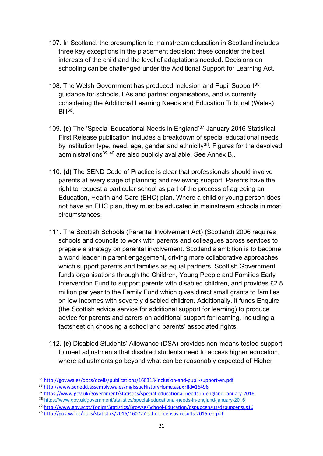- 107. In Scotland, the presumption to mainstream education in Scotland includes three key exceptions in the placement decision; these consider the best interests of the child and the level of adaptations needed. Decisions on schooling can be challenged under the Additional Support for Learning Act.
- 108. The Welsh Government has produced Inclusion and Pupil Support<sup>[35](#page-20-0)</sup> guidance for schools, LAs and partner organisations, and is currently considering the Additional Learning Needs and Education Tribunal (Wales)  $Bill<sup>36</sup>$  $Bill<sup>36</sup>$  $Bill<sup>36</sup>$
- 109. **(c)** The 'Special Educational Needs in England'[37](#page-20-2) January 2016 Statistical First Release publication includes a breakdown of special educational needs by institution type, need, age, gender and ethnicity<sup>38</sup>. Figures for the devolved administrations<sup>[39](#page-20-4)</sup> <sup>[40](#page-20-5)</sup> are also publicly available. See Annex B..
- 110. **(d)** The SEND Code of Practice is clear that professionals should involve parents at every stage of planning and reviewing support. Parents have the right to request a particular school as part of the process of agreeing an Education, Health and Care (EHC) plan. Where a child or young person does not have an EHC plan, they must be educated in mainstream schools in most circumstances.
- 111. The Scottish Schools (Parental Involvement Act) (Scotland) 2006 requires schools and councils to work with parents and colleagues across services to prepare a strategy on parental involvement. Scotland's ambition is to become a world leader in parent engagement, driving more collaborative approaches which support parents and families as equal partners. Scottish Government funds organisations through the Children, Young People and Families Early Intervention Fund to support parents with disabled children, and provides £2.8 million per year to the Family Fund which gives direct small grants to families on low incomes with severely disabled children. Additionally, it funds Enquire (the Scottish advice service for additional support for learning) to produce advice for parents and carers on additional support for learning, including a factsheet on choosing a school and parents' associated rights.
- 112. **(e)** Disabled Students' Allowance (DSA) provides non-means tested support to meet adjustments that disabled students need to access higher education, where adjustments go beyond what can be reasonably expected of Higher

<span id="page-20-0"></span><sup>&</sup>lt;sup>35</sup> http://gov.wales/docs/dcells/publications/160318-inclusion-and-pupil-support-en.pdf<br><sup>36</sup> http://www.senedd.assembly.wales/mglssueHistoryHome.aspx?IId=16496<br><sup>37</sup> https://www.gov.uk/government/statistics/special-educati

<span id="page-20-1"></span>

<span id="page-20-3"></span><span id="page-20-2"></span><sup>38</sup> <https://www.gov.uk/government/statistics/special-educational-needs-in-england-january-2016>

<span id="page-20-4"></span><sup>&</sup>lt;sup>39</sup> http://www.gov.scot/Topics/Statistics/Browse/School-Education/dspupcensus/dspupcensus16<br><sup>40</sup> http://gov.wales/docs/statistics/2016/160727-school-census-results-2016-en.pdf

<span id="page-20-5"></span>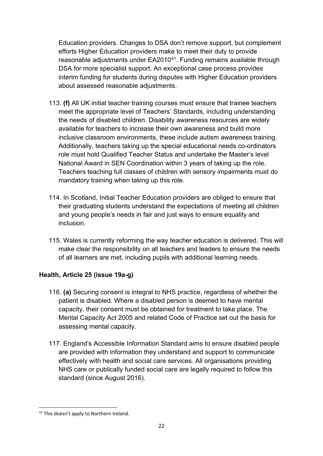Education providers. Changes to DSA don't remove support, but complement efforts Higher Education providers make to meet their duty to provide reasonable adjustments under EA2010<sup>41</sup>. Funding remains available through DSA for more specialist support. An exceptional case process provides interim funding for students during disputes with Higher Education providers about assessed reasonable adjustments.

- 113. **(f)** All UK initial teacher training courses must ensure that trainee teachers meet the appropriate level of Teachers' Standards, including understanding the needs of disabled children. Disability awareness resources are widely available for teachers to increase their own awareness and build more inclusive classroom environments, these include autism awareness training. Additionally, teachers taking up the special educational needs co-ordinators role must hold Qualified Teacher Status and undertake the Master's level National Award in SEN Coordination within 3 years of taking up the role. Teachers teaching full classes of children with sensory impairments must do mandatory training when taking up this role.
- 114. In Scotland, Initial Teacher Education providers are obliged to ensure that their graduating students understand the expectations of meeting all children and young people's needs in fair and just ways to ensure equality and inclusion.
- 115. Wales is currently reforming the way teacher education is delivered. This will make clear the responsibility on all teachers and leaders to ensure the needs of all learners are met, including pupils with additional learning needs.

# **Health, Article 25 (issue 19a-g)**

- 116. **(a)** Securing consent is integral to NHS practice, regardless of whether the patient is disabled. Where a disabled person is deemed to have mental capacity, their consent must be obtained for treatment to take place. The Mental Capacity Act 2005 and related Code of Practice set out the basis for assessing mental capacity.
- 117. England's Accessible Information Standard aims to ensure disabled people are provided with information they understand and support to communicate effectively with health and social care services. All organisations providing NHS care or publically funded social care are legally required to follow this standard (since August 2016).

<span id="page-21-0"></span>**<sup>.</sup>** <sup>41</sup> This doesn't apply to Northern Ireland.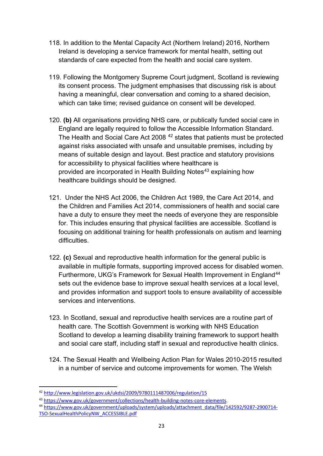- 118. In addition to the Mental Capacity Act (Northern Ireland) 2016, Northern Ireland is developing a service framework for mental health, setting out standards of care expected from the health and social care system.
- 119. Following the Montgomery Supreme Court judgment, Scotland is reviewing its consent process. The judgment emphasises that discussing risk is about having a meaningful, clear conversation and coming to a shared decision, which can take time; revised guidance on consent will be developed.
- 120. **(b)** All organisations providing NHS care, or publically funded social care in England are legally required to follow the Accessible Information Standard. The Health and Social Care Act 2008 [42](#page-22-0) states that patients must be protected against risks associated with unsafe and unsuitable premises, including by means of suitable design and layout. Best practice and statutory provisions for accessibility to physical facilities where healthcare is provided are incorporated in Health Building Notes<sup>[43](#page-22-1)</sup> explaining how healthcare buildings should be designed.
- 121. Under the NHS Act 2006, the Children Act 1989, the Care Act 2014, and the Children and Families Act 2014, commissioners of health and social care have a duty to ensure they meet the needs of everyone they are responsible for. This includes ensuring that physical facilities are accessible. Scotland is focusing on additional training for health professionals on autism and learning difficulties.
- 122. **(c)** Sexual and reproductive health information for the general public is available in multiple formats, supporting improved access for disabled women. Furthermore, UKG's Framework for Sexual Health Improvement in England<sup>[44](#page-22-2)</sup> sets out the evidence base to improve sexual health services at a local level, and provides information and support tools to ensure availability of accessible services and interventions.
- 123. In Scotland, sexual and reproductive health services are a routine part of health care. The Scottish Government is working with NHS Education Scotland to develop a learning disability training framework to support health and social care staff, including staff in sexual and reproductive health clinics.
- 124. The Sexual Health and Wellbeing Action Plan for Wales 2010-2015 resulted in a number of service and outcome improvements for women. The Welsh

<span id="page-22-2"></span><sup>44</sup> [https://www.gov.uk/government/uploads/system/uploads/attachment\\_data/file/142592/9287-2900714-](https://www.gov.uk/government/uploads/system/uploads/attachment_data/file/142592/9287-2900714-TSO-SexualHealthPolicyNW_ACCESSIBLE.pdf) [TSO-SexualHealthPolicyNW\\_ACCESSIBLE.pdf](https://www.gov.uk/government/uploads/system/uploads/attachment_data/file/142592/9287-2900714-TSO-SexualHealthPolicyNW_ACCESSIBLE.pdf) 

 $\overline{\phantom{a}}$ <sup>42</sup> <http://www.legislation.gov.uk/ukdsi/2009/9780111487006/regulation/15>

<span id="page-22-1"></span><span id="page-22-0"></span><sup>43</sup> [https://www.gov.uk/government/collections/health-building-notes-core-elements.](https://www.gov.uk/government/collections/health-building-notes-core-elements)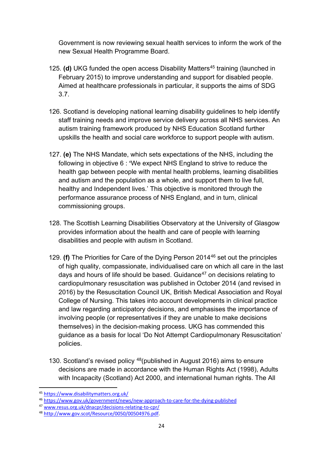Government is now reviewing sexual health services to inform the work of the new Sexual Health Programme Board.

- 125. **(d)** UKG funded the open access Disability Matters<sup>[45](#page-23-0)</sup> training (launched in February 2015) to improve understanding and support for disabled people. Aimed at healthcare professionals in particular, it supports the aims of SDG 3.7.
- 126. Scotland is developing national learning disability guidelines to help identify staff training needs and improve service delivery across all NHS services. An autism training framework produced by NHS Education Scotland further upskills the health and social care workforce to support people with autism.
- 127. **(e)** The NHS Mandate, which sets expectations of the NHS, including the following in objective 6 : **'**We expect NHS England to strive to reduce the health gap between people with mental health problems, learning disabilities and autism and the population as a whole, and support them to live full, healthy and Independent lives.' This objective is monitored through the performance assurance process of NHS England, and in turn, clinical commissioning groups.
- 128. The Scottish Learning Disabilities Observatory at the University of Glasgow provides information about the health and care of people with learning disabilities and people with autism in Scotland.
- 129. **(f)** The Priorities for Care of the Dying Person 2014[46](#page-23-1) set out the principles of high quality, compassionate, individualised care on which all care in the last days and hours of life should be based. Guidance<sup>[47](#page-23-2)</sup> on decisions relating to cardiopulmonary resuscitation was published in October 2014 (and revised in 2016) by the Resuscitation Council UK, British Medical Association and Royal College of Nursing. This takes into account developments in clinical practice and law regarding anticipatory decisions, and emphasises the importance of involving people (or representatives if they are unable to make decisions themselves) in the decision-making process. UKG has commended this guidance as a basis for local 'Do Not Attempt Cardiopulmonary Resuscitation' policies.
- 130. Scotland's revised policy <sup>48</sup>(published in August 2016) aims to ensure decisions are made in accordance with the Human Rights Act (1998), Adults with Incapacity (Scotland) Act 2000, and international human rights. The All

<span id="page-23-0"></span><sup>45</sup> <https://www.disabilitymatters.org.uk/>

<span id="page-23-2"></span><span id="page-23-1"></span><sup>46</sup> https://www.gov.uk/government/news/new-approach-to-care-for-the-dying-published<br>
<sup>47</sup> www.resus.org.uk/dnacpr/decisions-relating-to-cpr/<br>
<sup>48</sup> [http://www.gov.scot/Resource/0050/00504976.pdf.](http://www.gov.scot/Resource/0050/00504976.pdf)

<span id="page-23-3"></span>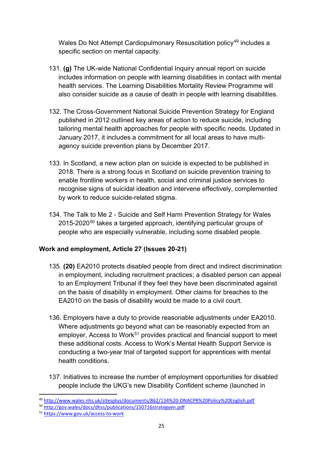Wales Do Not Attempt Cardiopulmonary Resuscitation policy<sup>[49](#page-24-0)</sup> includes a specific section on mental capacity.

- 131. **(g)** The UK-wide National Confidential Inquiry annual report on suicide includes information on people with learning disabilities in contact with mental health services. The Learning Disabilities Mortality Review Programme will also consider suicide as a cause of death in people with learning disabilities.
- 132. The Cross-Government National Suicide Prevention Strategy for England published in 2012 outlined key areas of action to reduce suicide, including tailoring mental health approaches for people with specific needs. Updated in January 2017, it includes a commitment for all local areas to have multiagency suicide prevention plans by December 2017.
- 133. In Scotland, a new action plan on suicide is expected to be published in 2018. There is a strong focus in Scotland on suicide prevention training to enable frontline workers in health, social and criminal justice services to recognise signs of suicidal ideation and intervene effectively, complemented by work to reduce suicide-related stigma.
- 134. The Talk to Me 2 Suicide and Self Harm Prevention Strategy for Wales 2015-2020<sup>[50](#page-24-1)</sup> takes a targeted approach, identifying particular groups of people who are especially vulnerable, including some disabled people.

# **Work and employment, Article 27 (Issues 20-21)**

- 135. **(20)** EA2010 protects disabled people from direct and indirect discrimination in employment, including recruitment practices; a disabled person can appeal to an Employment Tribunal if they feel they have been discriminated against on the basis of disability in employment. Other claims for breaches to the EA2010 on the basis of disability would be made to a civil court.
- 136. Employers have a duty to provide reasonable adjustments under EA2010. Where adjustments go beyond what can be reasonably expected from an employer, Access to Work<sup>[51](#page-24-2)</sup> provides practical and financial support to meet these additional costs. Access to Work's Mental Health Support Service is conducting a two-year trial of targeted support for apprentices with mental health conditions.
- 137. Initiatives to increase the number of employment opportunities for disabled people include the UKG's new Disability Confident scheme (launched in

<span id="page-24-0"></span>**<sup>.</sup>** 49 http://www.wales.nhs.uk/sitesplus/documents/862/134%20-DNACPR%20Policy%20English.pdf<br><sup>50</sup> http://gov.wales/docs/dhss/publications/150716strategyen.pdf<br><sup>51</sup> https://www.gov.uk/access-to-work

<span id="page-24-2"></span><span id="page-24-1"></span>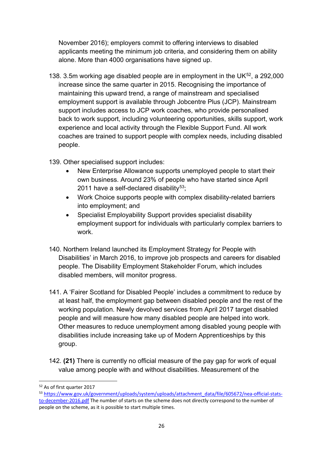November 2016); employers commit to offering interviews to disabled applicants meeting the minimum job criteria, and considering them on ability alone. More than 4000 organisations have signed up.

138. 3.5m working age disabled people are in employment in the UK $52$ , a 292,000 increase since the same quarter in 2015. Recognising the importance of maintaining this upward trend, a range of mainstream and specialised employment support is available through Jobcentre Plus (JCP). Mainstream support includes access to JCP work coaches, who provide personalised back to work support, including volunteering opportunities, skills support, work experience and local activity through the Flexible Support Fund. All work coaches are trained to support people with complex needs, including disabled people.

139. Other specialised support includes:

- New Enterprise Allowance supports unemployed people to start their own business. Around 23% of people who have started since April 2011 have a self-declared disability<sup>53</sup>;
- Work Choice supports people with complex disability-related barriers into employment; and
- Specialist Employability Support provides specialist disability employment support for individuals with particularly complex barriers to work.
- 140. Northern Ireland launched its Employment Strategy for People with Disabilities' in March 2016, to improve job prospects and careers for disabled people. The Disability Employment Stakeholder Forum, which includes disabled members, will monitor progress.
- 141. A 'Fairer Scotland for Disabled People' includes a commitment to reduce by at least half, the employment gap between disabled people and the rest of the working population. Newly devolved services from April 2017 target disabled people and will measure how many disabled people are helped into work. Other measures to reduce unemployment among disabled young people with disabilities include increasing take up of Modern Apprenticeships by this group.
- 142. **(21)** There is currently no official measure of the pay gap for work of equal value among people with and without disabilities. Measurement of the

<span id="page-25-0"></span> $\overline{\phantom{a}}$ <sup>52</sup> As of first quarter 2017

<span id="page-25-1"></span><sup>53</sup> [https://www.gov.uk/government/uploads/system/uploads/attachment\\_data/file/605672/nea-official-stats](https://www.gov.uk/government/uploads/system/uploads/attachment_data/file/605672/nea-official-stats-to-december-2016.pdf)[to-december-2016.pdf](https://www.gov.uk/government/uploads/system/uploads/attachment_data/file/605672/nea-official-stats-to-december-2016.pdf) The number of starts on the scheme does not directly correspond to the number of people on the scheme, as it is possible to start multiple times.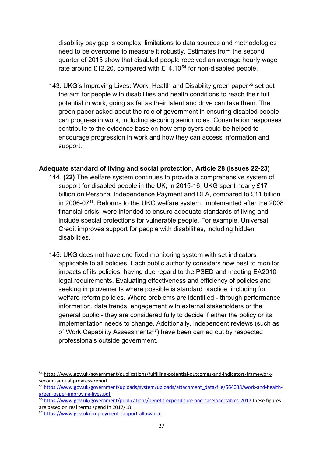disability pay gap is complex; limitations to data sources and methodologies need to be overcome to measure it robustly. Estimates from the second quarter of 2015 show that disabled people received an average hourly wage rate around £12.20, compared with £14.10 $54$  for non-disabled people.

143. UKG's Improving Lives: Work, Health and Disability green paper<sup>[55](#page-26-1)</sup> set out the aim for people with disabilities and health conditions to reach their full potential in work, going as far as their talent and drive can take them. The green paper asked about the role of government in ensuring disabled people can progress in work, including securing senior roles. Consultation responses contribute to the evidence base on how employers could be helped to encourage progression in work and how they can access information and support.

## **Adequate standard of living and social protection, Article 28 (issues 22-23)**

- 144. **(22)** The welfare system continues to provide a comprehensive system of support for disabled people in the UK; in 2015-16, UKG spent nearly £17 billion on Personal Independence Payment and DLA, compared to £11 billion in 2006-07<sup>[56](#page-26-2)</sup>. Reforms to the UKG welfare system, implemented after the 2008 financial crisis, were intended to ensure adequate standards of living and include special protections for vulnerable people. For example, Universal Credit improves support for people with disabilities, including hidden disabilities.
- 145. UKG does not have one fixed monitoring system with set indicators applicable to all policies. Each public authority considers how best to monitor impacts of its policies, having due regard to the PSED and meeting EA2010 legal requirements. Evaluating effectiveness and efficiency of policies and seeking improvements where possible is standard practice, including for welfare reform policies. Where problems are identified - through performance information, data trends, engagement with external stakeholders or the general public - they are considered fully to decide if either the policy or its implementation needs to change. Additionally, independent reviews (such as of Work Capability Assessments<sup>57</sup>) have been carried out by respected professionals outside government.

 $\overline{\phantom{a}}$ 

<span id="page-26-0"></span><sup>54</sup> [https://www.gov.uk/government/publications/fulfilling-potential-outcomes-and-indicators-framework-](https://www.gov.uk/government/publications/fulfilling-potential-outcomes-and-indicators-framework-second-annual-progress-report)

<span id="page-26-1"></span>second-annual-progress-report<br>
55 https://www.gov.uk/government/uploads/system/uploads/attachment\_data/file/564038/work-and-health-<br>
green-paper-improving-lives.pdf

<span id="page-26-2"></span><sup>56</sup> <https://www.gov.uk/government/publications/benefit-expenditure-and-caseload-tables-2017> these figures are based on real terms spend in 2017/18.

<span id="page-26-3"></span><sup>57</sup> <https://www.gov.uk/employment-support-allowance>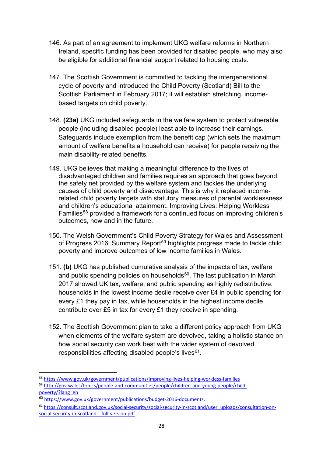- 146. As part of an agreement to implement UKG welfare reforms in Northern Ireland, specific funding has been provided for disabled people, who may also be eligible for additional financial support related to housing costs.
- 147. The Scottish Government is committed to tackling the intergenerational cycle of poverty and introduced the Child Poverty (Scotland) Bill to the Scottish Parliament in February 2017; it will establish stretching, incomebased targets on child poverty.
- 148. **(23a)** UKG included safeguards in the welfare system to protect vulnerable people (including disabled people) least able to increase their earnings. Safeguards include exemption from the benefit cap (which sets the maximum amount of welfare benefits a household can receive) for people receiving the main disability-related benefits.
- 149. UKG believes that making a meaningful difference to the lives of disadvantaged children and families requires an approach that goes beyond the safety net provided by the welfare system and tackles the underlying causes of child poverty and disadvantage. This is why it replaced incomerelated child poverty targets with statutory measures of parental worklessness and children's educational attainment. Improving Lives: Helping Workless Families<sup>[58](#page-27-0)</sup> provided a framework for a continued focus on improving children's outcomes, now and in the future.
- 150. The Welsh Government's Child Poverty Strategy for Wales and Assessment of Progress 2016: Summary Report<sup>[59](#page-27-1)</sup> highlights progress made to tackle child poverty and improve outcomes of low income families in Wales.
- 151. **(b)** UKG has published cumulative analysis of the impacts of tax, welfare and public spending policies on households $60$ . The last publication in March 2017 showed UK tax, welfare, and public spending as highly redistributive: households in the lowest income decile receive over £4 in public spending for every £1 they pay in tax, while households in the highest income decile contribute over £5 in tax for every £1 they receive in spending.
- 152. The Scottish Government plan to take a different policy approach from UKG when elements of the welfare system are devolved, taking a holistic stance on how social security can work best with the wider system of devolved responsibilities affecting disabled people's lives<sup>[61](#page-27-3)</sup>.

<span id="page-27-0"></span><sup>&</sup>lt;sup>58</sup> https://www.gov.uk/government/publications/improving-lives-helping-workless-families<br><sup>59</sup> [http://gov.wales/topics/people-and-communities/people/children-and-young-people/child-](http://gov.wales/topics/people-and-communities/people/children-and-young-people/child-poverty/?lang=en)

<span id="page-27-1"></span>[poverty/?lang=en](http://gov.wales/topics/people-and-communities/people/children-and-young-people/child-poverty/?lang=en)

<span id="page-27-2"></span><sup>60</sup> [https://www.gov.uk/government/publications/budget-2016-documents.](https://www.gov.uk/government/publications/budget-2016-documents)

<span id="page-27-3"></span><sup>61</sup> [https://consult.scotland.gov.uk/social-security/social-security-in-scotland/user\\_uploads/consultation-on](https://consult.scotland.gov.uk/social-security/social-security-in-scotland/user_uploads/consultation-on-social-security-in-scotland---full-version.pdf)[social-security-in-scotland---full-version.pdf](https://consult.scotland.gov.uk/social-security/social-security-in-scotland/user_uploads/consultation-on-social-security-in-scotland---full-version.pdf)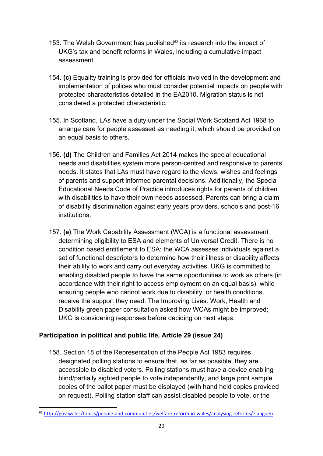- 153. The Welsh Government has published<sup> $62$ </sup> its research into the impact of UKG's tax and benefit reforms in Wales, including a cumulative impact assessment.
- 154. **(c)** Equality training is provided for officials involved in the development and implementation of polices who must consider potential impacts on people with protected characteristics detailed in the EA2010. Migration status is not considered a protected characteristic.
- 155. In Scotland, LAs have a duty under the Social Work Scotland Act 1968 to arrange care for people assessed as needing it, which should be provided on an equal basis to others.
- 156. **(d)** The Children and Families Act 2014 makes the special educational needs and disabilities system more person-centred and responsive to parents' needs. It states that LAs must have regard to the views, wishes and feelings of parents and support informed parental decisions. Additionally, the Special Educational Needs Code of Practice introduces rights for parents of children with disabilities to have their own needs assessed. Parents can bring a claim of disability discrimination against early years providers, schools and post-16 institutions.
- 157. **(e)** The Work Capability Assessment (WCA) is a functional assessment determining eligibility to ESA and elements of Universal Credit. There is no condition based entitlement to ESA; the WCA assesses individuals against a set of functional descriptors to determine how their illness or disability affects their ability to work and carry out everyday activities. UKG is committed to enabling disabled people to have the same opportunities to work as others (in accordance with their right to access employment on an equal basis), while ensuring people who cannot work due to disability, or health conditions, receive the support they need. The Improving Lives: Work, Health and Disability green paper consultation asked how WCAs might be improved; UKG is considering responses before deciding on next steps.

# **Participation in political and public life, Article 29 (issue 24)**

**.** 

158. Section 18 of the Representation of the People Act 1983 requires designated polling stations to ensure that, as far as possible, they are accessible to disabled voters. Polling stations must have a device enabling blind/partially sighted people to vote independently, and large print sample copies of the ballot paper must be displayed (with hand held copies provided on request). Polling station staff can assist disabled people to vote, or the

<span id="page-28-0"></span><sup>62</sup> <http://gov.wales/topics/people-and-communities/welfare-reform-in-wales/analysing-reforms/?lang=en>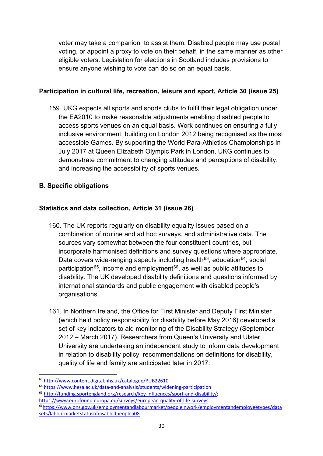voter may take a companion to assist them. Disabled people may use postal voting, or appoint a proxy to vote on their behalf, in the same manner as other eligible voters. Legislation for elections in Scotland includes provisions to ensure anyone wishing to vote can do so on an equal basis.

## **Participation in cultural life, recreation, leisure and sport, Article 30 (issue 25)**

159. UKG expects all sports and sports clubs to fulfil their legal obligation under the EA2010 to make reasonable adjustments enabling disabled people to access sports venues on an equal basis. Work continues on ensuring a fully inclusive environment, building on London 2012 being recognised as the most accessible Games. By supporting the World Para-Athletics Championships in July 2017 at Queen Elizabeth Olympic Park in London, UKG continues to demonstrate commitment to changing attitudes and perceptions of disability, and increasing the accessibility of sports venues.

# **B. Specific obligations**

# **Statistics and data collection, Article 31 (issue 26)**

- 160. The UK reports regularly on disability equality issues based on a combination of routine and ad hoc surveys, and administrative data. The sources vary somewhat between the four constituent countries, but incorporate harmonised definitions and survey questions where appropriate. Data covers wide-ranging aspects including health<sup>63</sup>, education<sup>[64](#page-29-1)</sup>, social participation<sup>[65](#page-29-2)</sup>, income and employment<sup>66</sup>, as well as public attitudes to disability. The UK developed disability definitions and questions informed by international standards and public engagement with disabled people's organisations.
- 161. In Northern Ireland, the Office for First Minister and Deputy First Minister (which held policy responsibility for disability before May 2016) developed a set of key indicators to aid monitoring of the Disability Strategy (September 2012 – March 2017). Researchers from Queen's University and Ulster University are undertaking an independent study to inform data development in relation to disability policy; recommendations on definitions for disability, quality of life and family are anticipated later in 2017.

<span id="page-29-0"></span><sup>63</sup> <http://www.content.digital.nhs.uk/catalogue/PUB22610>

<span id="page-29-1"></span><sup>64</sup> <https://www.hesa.ac.uk/data-and-analysis/students/widening-participation>

<span id="page-29-2"></span><sup>65</sup> [http://funding.sportengland.org/research/key-influences/sport-and-disability/;](http://funding.sportengland.org/research/key-influences/sport-and-disability/)

<https://www.eurofound.europa.eu/surveys/european-quality-of-life-surveys>

<span id="page-29-3"></span><sup>6</sup>[6https://www.ons.gov.uk/employmentandlabourmarket/peopleinwork/employmentandemployeetypes/data](https://www.ons.gov.uk/employmentandlabourmarket/peopleinwork/employmentandemployeetypes/datasets/labourmarketstatusofdisabledpeoplea08) [sets/labourmarketstatusofdisabledpeoplea08](https://www.ons.gov.uk/employmentandlabourmarket/peopleinwork/employmentandemployeetypes/datasets/labourmarketstatusofdisabledpeoplea08)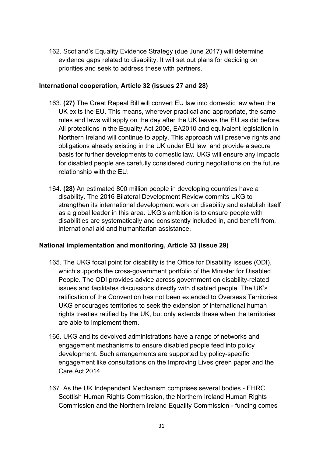162. Scotland's Equality Evidence Strategy (due June 2017) will determine evidence gaps related to disability. It will set out plans for deciding on priorities and seek to address these with partners.

#### **International cooperation, Article 32 (issues 27 and 28)**

- 163. **(27)** The Great Repeal Bill will convert EU law into domestic law when the UK exits the EU. This means, wherever practical and appropriate, the same rules and laws will apply on the day after the UK leaves the EU as did before. All protections in the Equality Act 2006, EA2010 and equivalent legislation in Northern Ireland will continue to apply. This approach will preserve rights and obligations already existing in the UK under EU law, and provide a secure basis for further developments to domestic law. UKG will ensure any impacts for disabled people are carefully considered during negotiations on the future relationship with the EU.
- 164. **(28)** An estimated 800 million people in developing countries have a disability. The 2016 Bilateral Development Review commits UKG to strengthen its international development work on disability and establish itself as a global leader in this area. UKG's ambition is to ensure people with disabilities are systematically and consistently included in, and benefit from, international aid and humanitarian assistance.

## **National implementation and monitoring, Article 33 (issue 29)**

- 165. The UKG focal point for disability is the Office for Disability Issues (ODI), which supports the cross-government portfolio of the Minister for Disabled People. The ODI provides advice across government on disability-related issues and facilitates discussions directly with disabled people. The UK's ratification of the Convention has not been extended to Overseas Territories. UKG encourages territories to seek the extension of international human rights treaties ratified by the UK, but only extends these when the territories are able to implement them.
- 166. UKG and its devolved administrations have a range of networks and engagement mechanisms to ensure disabled people feed into policy development. Such arrangements are supported by policy-specific engagement like consultations on the Improving Lives green paper and the Care Act 2014.
- 167. As the UK Independent Mechanism comprises several bodies EHRC, Scottish Human Rights Commission, the Northern Ireland Human Rights Commission and the Northern Ireland Equality Commission - funding comes